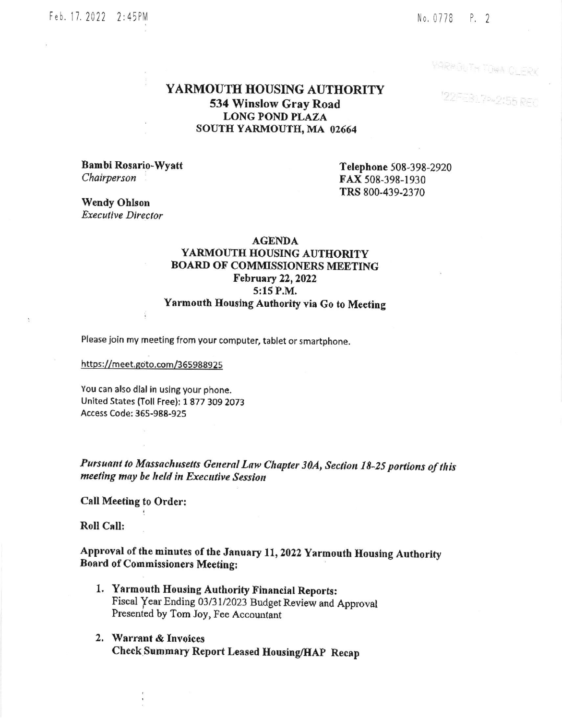## Feb. 17. 2022 2:45PM

#### No. 0778 P. 2

YARKOUTH TOWA CLERK

122FFB17P=2155 REC

# YARMOUTH HOUSING AUTHORITY 534 Winslow Gray Road **LONG POND PLAZA** SOUTH YARMOUTH, MA 02664

Bambi Rosario-Wyatt Chairperson

Telephone 508-398-2920 FAX 508-398-1930 TRS 800-439-2370

**Wendy Ohlson Executive Director** 

#### **AGENDA**

# YARMOUTH HOUSING AUTHORITY **BOARD OF COMMISSIONERS MEETING** February 22, 2022 5:15 P.M. Yarmouth Housing Authority via Go to Meeting

Please join my meeting from your computer, tablet or smartphone.

https://meet.goto.com/365988925

You can also dial in using your phone. United States (Toll Free): 1 877 309 2073 Access Code: 365-988-925

Pursuant to Massachusetts General Law Chapter 30A, Section 18-25 portions of this meeting may be held in Executive Session

Call Meeting to Order:

**Roll Call:** 

Approval of the minutes of the January 11, 2022 Yarmouth Housing Authority **Board of Commissioners Meeting:** 

- 1. Yarmouth Housing Authority Financial Reports: Fiscal Year Ending 03/31/2023 Budget Review and Approval Presented by Tom Joy, Fee Accountant
- 2. Warrant & Invoices Check Summary Report Leased Housing/HAP Recap